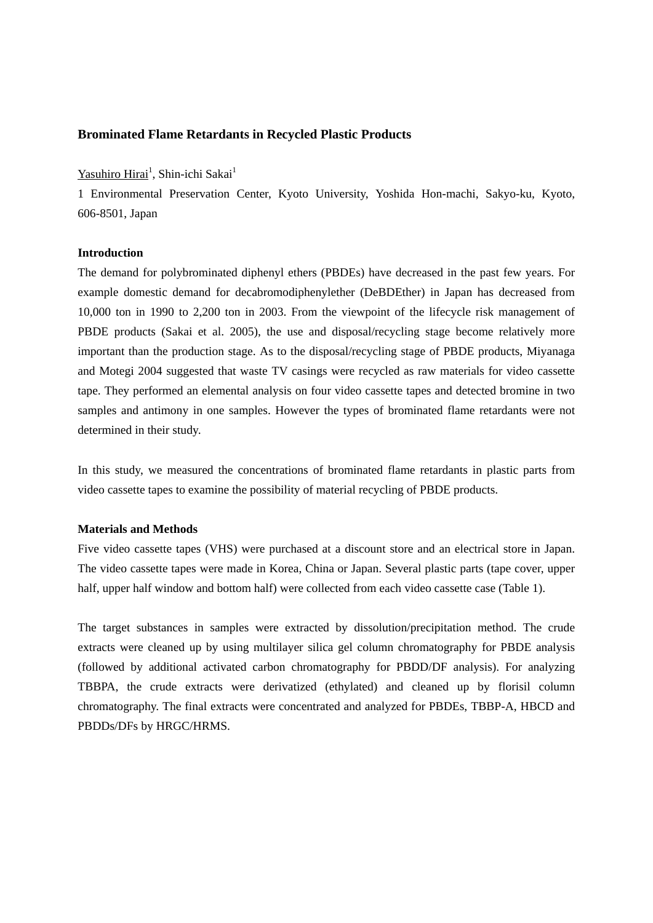## **Brominated Flame Retardants in Recycled Plastic Products**

# Yasuhiro Hirai<sup>1</sup>, Shin-ichi Sakai<sup>1</sup>

1 Environmental Preservation Center, Kyoto University, Yoshida Hon-machi, Sakyo-ku, Kyoto, 606-8501, Japan

### **Introduction**

The demand for polybrominated diphenyl ethers (PBDEs) have decreased in the past few years. For example domestic demand for decabromodiphenylether (DeBDEther) in Japan has decreased from 10,000 ton in 1990 to 2,200 ton in 2003. From the viewpoint of the lifecycle risk management of PBDE products (Sakai et al. 2005), the use and disposal/recycling stage become relatively more important than the production stage. As to the disposal/recycling stage of PBDE products, Miyanaga and Motegi 2004 suggested that waste TV casings were recycled as raw materials for video cassette tape. They performed an elemental analysis on four video cassette tapes and detected bromine in two samples and antimony in one samples. However the types of brominated flame retardants were not determined in their study.

In this study, we measured the concentrations of brominated flame retardants in plastic parts from video cassette tapes to examine the possibility of material recycling of PBDE products.

#### **Materials and Methods**

Five video cassette tapes (VHS) were purchased at a discount store and an electrical store in Japan. The video cassette tapes were made in Korea, China or Japan. Several plastic parts (tape cover, upper half, upper half window and bottom half) were collected from each video cassette case (Table 1).

The target substances in samples were extracted by dissolution/precipitation method. The crude extracts were cleaned up by using multilayer silica gel column chromatography for PBDE analysis (followed by additional activated carbon chromatography for PBDD/DF analysis). For analyzing TBBPA, the crude extracts were derivatized (ethylated) and cleaned up by florisil column chromatography. The final extracts were concentrated and analyzed for PBDEs, TBBP-A, HBCD and PBDDs/DFs by HRGC/HRMS.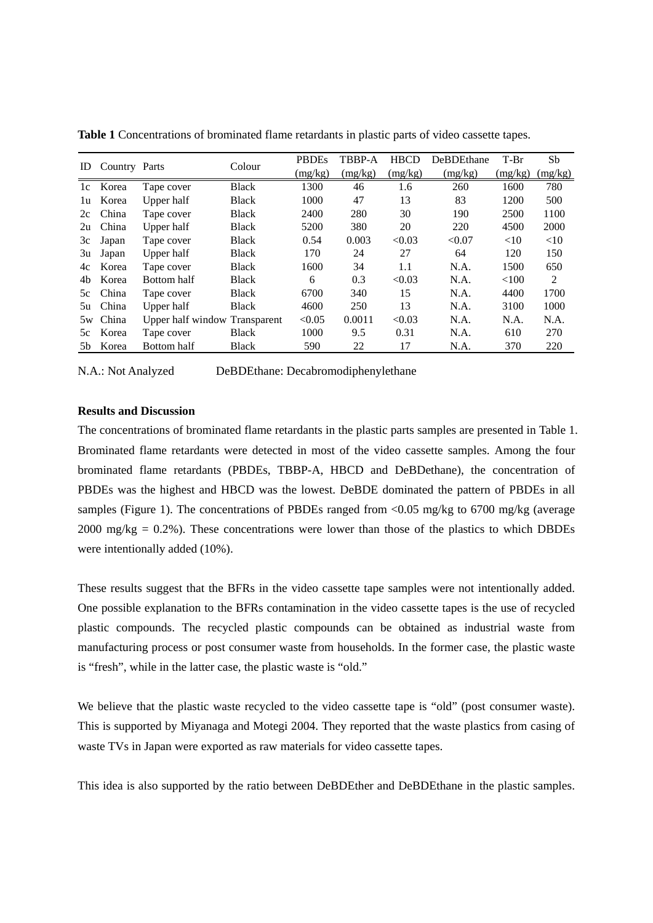| ID | Country Parts |                               | Colour       | <b>PBDEs</b> | TBBP-A  | <b>HBCD</b> | <b>DeBDEthane</b> | $T-Br$  | Sb      |
|----|---------------|-------------------------------|--------------|--------------|---------|-------------|-------------------|---------|---------|
|    |               |                               |              | (mg/kg)      | (mg/kg) | (mg/kg)     | (mg/kg)           | (mg/kg) | (mg/kg) |
| 1c | Korea         | Tape cover                    | <b>Black</b> | 1300         | 46      | 1.6         | 260               | 1600    | 780     |
| 1u | Korea         | Upper half                    | <b>Black</b> | 1000         | 47      | 13          | 83                | 1200    | 500     |
| 2c | China         | Tape cover                    | <b>Black</b> | 2400         | 280     | 30          | 190               | 2500    | 1100    |
| 2u | China         | Upper half                    | <b>Black</b> | 5200         | 380     | 20          | 220               | 4500    | 2000    |
| 3c | Japan         | Tape cover                    | <b>Black</b> | 0.54         | 0.003   | < 0.03      | < 0.07            | <10     | <10     |
| 3u | Japan         | Upper half                    | <b>Black</b> | 170          | 24      | 27          | 64                | 120     | 150     |
| 4c | Korea         | Tape cover                    | <b>Black</b> | 1600         | 34      | 1.1         | N.A.              | 1500    | 650     |
| 4b | Korea         | Bottom half                   | <b>Black</b> | 6            | 0.3     | < 0.03      | N.A.              | < 100   | 2       |
| 5c | China         | Tape cover                    | <b>Black</b> | 6700         | 340     | 15          | N.A.              | 4400    | 1700    |
| 5u | China         | Upper half                    | <b>Black</b> | 4600         | 250     | 13          | N.A.              | 3100    | 1000    |
| 5w | China         | Upper half window Transparent |              | < 0.05       | 0.0011  | < 0.03      | N.A.              | N.A.    | N.A.    |
| 5c | Korea         | Tape cover                    | <b>Black</b> | 1000         | 9.5     | 0.31        | N.A.              | 610     | 270     |
| 5b | Korea         | Bottom half                   | <b>Black</b> | 590          | 22      | 17          | N.A.              | 370     | 220     |

**Table 1** Concentrations of brominated flame retardants in plastic parts of video cassette tapes.

N.A.: Not Analyzed DeBDEthane: Decabromodiphenylethane

#### **Results and Discussion**

The concentrations of brominated flame retardants in the plastic parts samples are presented in Table 1. Brominated flame retardants were detected in most of the video cassette samples. Among the four brominated flame retardants (PBDEs, TBBP-A, HBCD and DeBDethane), the concentration of PBDEs was the highest and HBCD was the lowest. DeBDE dominated the pattern of PBDEs in all samples (Figure 1). The concentrations of PBDEs ranged from <0.05 mg/kg to 6700 mg/kg (average  $2000 \text{ mg/kg} = 0.2\%$ ). These concentrations were lower than those of the plastics to which DBDEs were intentionally added (10%).

These results suggest that the BFRs in the video cassette tape samples were not intentionally added. One possible explanation to the BFRs contamination in the video cassette tapes is the use of recycled plastic compounds. The recycled plastic compounds can be obtained as industrial waste from manufacturing process or post consumer waste from households. In the former case, the plastic waste is "fresh", while in the latter case, the plastic waste is "old."

We believe that the plastic waste recycled to the video cassette tape is "old" (post consumer waste). This is supported by Miyanaga and Motegi 2004. They reported that the waste plastics from casing of waste TVs in Japan were exported as raw materials for video cassette tapes.

This idea is also supported by the ratio between DeBDEther and DeBDEthane in the plastic samples.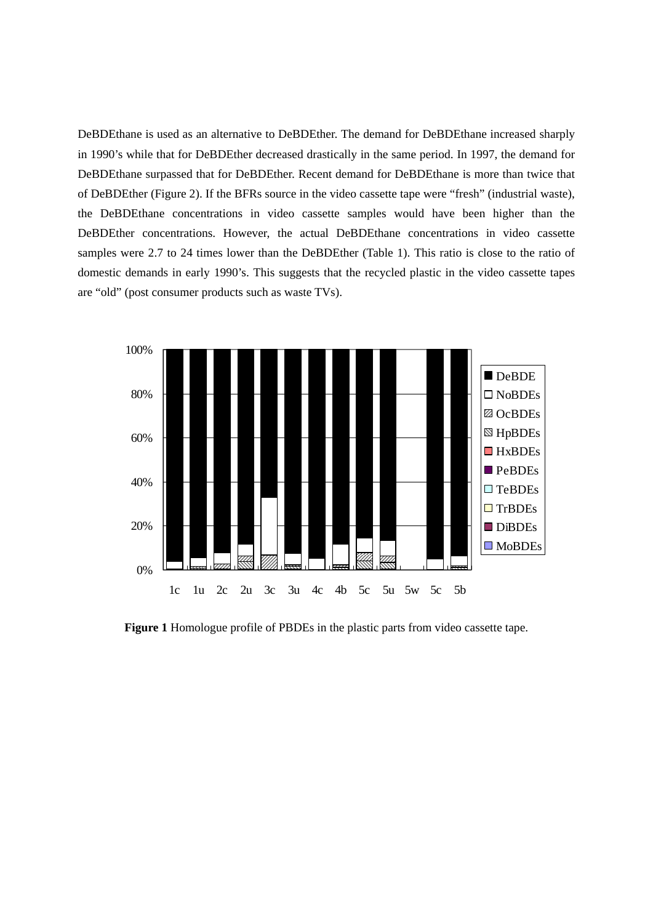DeBDEthane is used as an alternative to DeBDEther. The demand for DeBDEthane increased sharply in 1990's while that for DeBDEther decreased drastically in the same period. In 1997, the demand for DeBDEthane surpassed that for DeBDEther. Recent demand for DeBDEthane is more than twice that of DeBDEther (Figure 2). If the BFRs source in the video cassette tape were "fresh" (industrial waste), the DeBDEthane concentrations in video cassette samples would have been higher than the DeBDEther concentrations. However, the actual DeBDEthane concentrations in video cassette samples were 2.7 to 24 times lower than the DeBDEther (Table 1). This ratio is close to the ratio of domestic demands in early 1990's. This suggests that the recycled plastic in the video cassette tapes are "old" (post consumer products such as waste TVs).



**Figure 1** Homologue profile of PBDEs in the plastic parts from video cassette tape.